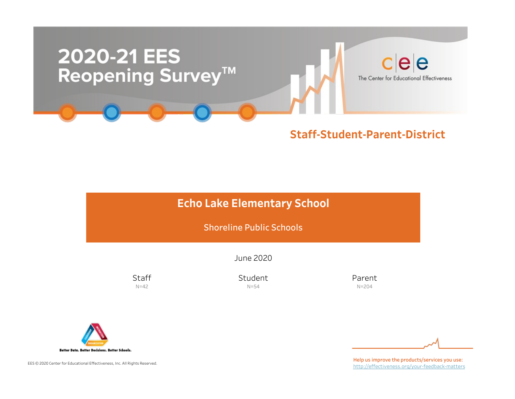

### Staff-Student-Parent-District

### **Echo Lake Elementary School**

Shoreline Public Schools

June2020

**Staff**  $N=42$ 

Student N=54

Parent N=204



EES © 2020 Center for Educational Effectiveness, Inc. All Rights Reserved.

Help us improve the products/services you use: http://effectiveness.org/your-feedback-matters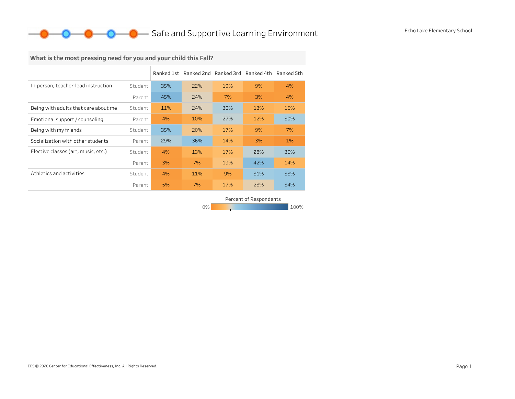## What is the most pressing need for you and your child this Fall?

|                                      |         |     | Ranked 1st Ranked 2nd Ranked 3rd |     | Ranked 4th | Ranked 5th |
|--------------------------------------|---------|-----|----------------------------------|-----|------------|------------|
| In-person, teacher-lead instruction  | Student | 35% | 22%                              | 19% | 9%         | 4%         |
|                                      | Parent  | 45% | 24%                              | 7%  | 3%         | 4%         |
| Being with adults that care about me | Student | 11% | 24%                              | 30% | 13%        | 15%        |
| Emotional support / counseling       | Parent  | 4%  | 10%                              | 27% | 12%        | 30%        |
| Being with my friends                | Student | 35% | 20%                              | 17% | 9%         | 7%         |
| Socialization with other students    | Parent  | 29% | 36%                              | 14% | 3%         | 1%         |
| Elective classes (art, music, etc.)  | Student | 4%  | 13%                              | 17% | 28%        | 30%        |
|                                      | Parent  | 3%  | 7%                               | 19% | 42%        | 14%        |
| Athletics and activities             | Student | 4%  | 11%                              | 9%  | 31%        | 33%        |
|                                      | Parent  | 5%  | 7%                               | 17% | 23%        | 34%        |

Percent of Respondents

0% 100% 100% 100% 100%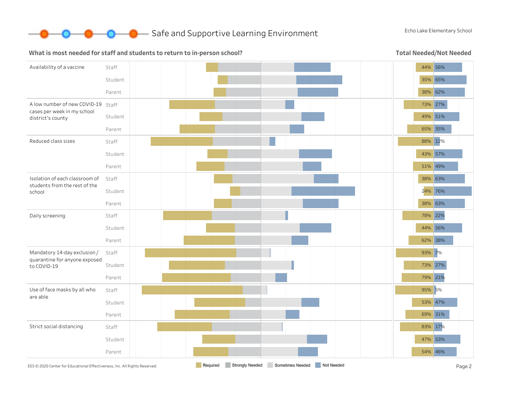

#### What is most needed for staff and students to return to in-person school?

Total Needed/Not Needed

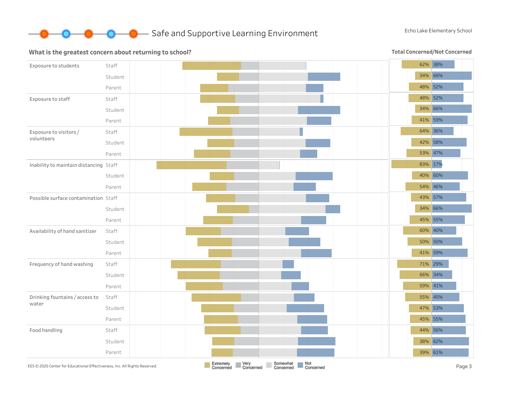

#### What is the greatest concern about returning to school?

**Total Concerned/Not Concerned** 

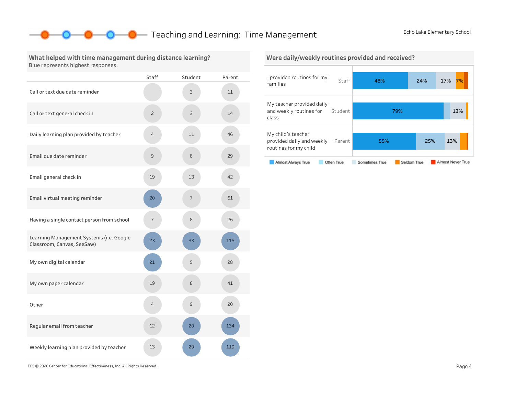55% 25% 13%

Seldom True

Almost Never True

### **O** Teaching and Learning: Time Management EchoLake Elementary School

class

Mychild'steacher

routines for my child

Almost Always True

provided daily and weekly Parent

Often True

What helped with time management during distance learning? Blue represents highest responses.

|                                                                        | <b>Staff</b>   | Student | Parent |
|------------------------------------------------------------------------|----------------|---------|--------|
| Call or text due date reminder                                         |                | 3       | 11     |
| Call or text general check in                                          | $\overline{c}$ | 3       | 14     |
| Daily learning plan provided by teacher                                | $\overline{4}$ | 11      | 46     |
| Email due date reminder                                                | 9              | 8       | 29     |
| Email general check in                                                 | 19             | 13      | 42     |
| Email virtual meeting reminder                                         | 20             | 7       | 61     |
| Having a single contact person from school                             | 7              | 8       | 26     |
| Learning Management Systems (i.e. Google<br>Classroom, Canvas, SeeSaw) | 23             | 33      | 115    |
| My own digital calendar                                                | 21             | 5       | 28     |
| My own paper calendar                                                  | 19             | 8       | 41     |
| Other                                                                  | $\overline{4}$ | 9       | 20     |
| Regular email from teacher                                             | 12             | 20      | 134    |
| Weekly learning plan provided by teacher                               | 13             | 29      | 119    |



Sometimes True

#### Were daily/weekly routines provided and received?

EES©2020CenterforEducationalEffectiveness,Inc.AllRightsReserved. Page4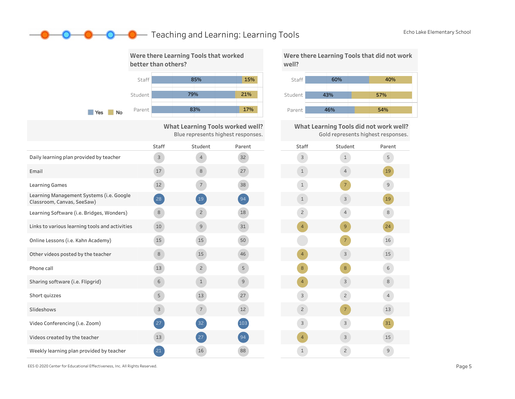### **O** Teaching and Learning: Learning Tools EchoLake Elementary School



What Learning Tools worked well? Blue represents highest responses.

|                                                                        | <b>Staff</b> | Student         | Parent        | Sta            |
|------------------------------------------------------------------------|--------------|-----------------|---------------|----------------|
| Daily learning plan provided by teacher                                | $\mathsf{3}$ | 4               | 32            | 3              |
| Email                                                                  | 17           | 8               | 27            | $\mathbf{1}$   |
| <b>Learning Games</b>                                                  | 12           | $\overline{7}$  | 38            | $\mathbf{1}$   |
| Learning Management Systems (i.e. Google<br>Classroom, Canvas, SeeSaw) | 28           | <sup>19</sup>   | 94            | $\mathbf{1}$   |
| Learning Software (i.e. Bridges, Wonders)                              | 8            | $\overline{c}$  | 18            | $\overline{c}$ |
| Links to various learning tools and activities                         | 10           | 9               | 31            | $\overline{4}$ |
| Online Lessons (i.e. Kahn Academy)                                     | 15           | 15              | 50            |                |
| Other videos posted by the teacher                                     | 8            | 15              | 46            | $\overline{4}$ |
| Phone call                                                             | 13           | $\overline{2}$  | 5             | 8              |
| Sharing software (i.e. Flipgrid)                                       | 6            | $\mathbf{1}$    | $\mathcal{G}$ | $\overline{4}$ |
| Short quizzes                                                          | 5            | 13              | 27            | $\overline{3}$ |
| Slideshows                                                             | 3            | $7\overline{ }$ | 12            | $\overline{c}$ |
| Video Conferencing (i.e. Zoom)                                         | 27           | 32              | 103           | 3              |
| Videos created by the teacher                                          | 13           | 27              | 94            | $\overline{4}$ |
| Weekly learning plan provided by teacher                               | 21           | 16              | 88            | $\mathbf{1}$   |

Were there Learning Tools that did not work well?



What Learning Tools did not work well? Gold represents highest responses.

| Staff                    | Student             | Parent                                                                                                                                                                                                                                                                                                                                                                                                                                                   |
|--------------------------|---------------------|----------------------------------------------------------------------------------------------------------------------------------------------------------------------------------------------------------------------------------------------------------------------------------------------------------------------------------------------------------------------------------------------------------------------------------------------------------|
| 3                        | $\mathbf 1$         | 5                                                                                                                                                                                                                                                                                                                                                                                                                                                        |
| $\mathbf 1$              | $\overline{4}$      | 19                                                                                                                                                                                                                                                                                                                                                                                                                                                       |
| $\mathbf 1$              | $\overline{7}$      | 9                                                                                                                                                                                                                                                                                                                                                                                                                                                        |
| $\mathbf 1$              | 3                   | 19                                                                                                                                                                                                                                                                                                                                                                                                                                                       |
| $\overline{c}$           | $\overline{4}$      | $\,8\,$                                                                                                                                                                                                                                                                                                                                                                                                                                                  |
| $\overline{\mathcal{A}}$ | $\mathsf{S}\xspace$ | 24                                                                                                                                                                                                                                                                                                                                                                                                                                                       |
|                          | $\overline{7}$      | 16                                                                                                                                                                                                                                                                                                                                                                                                                                                       |
| $\overline{4}$           | 3                   | 15                                                                                                                                                                                                                                                                                                                                                                                                                                                       |
| 8                        | $\,8\,$             | $\sqrt{6}$                                                                                                                                                                                                                                                                                                                                                                                                                                               |
| $\overline{\mathcal{A}}$ | 3                   | $\,8\,$                                                                                                                                                                                                                                                                                                                                                                                                                                                  |
| 3                        | $\mathbf{Z}$        | $\overline{4}$                                                                                                                                                                                                                                                                                                                                                                                                                                           |
| $\overline{c}$           | $\overline{7}$      | 13                                                                                                                                                                                                                                                                                                                                                                                                                                                       |
| 3                        | 3                   | 31                                                                                                                                                                                                                                                                                                                                                                                                                                                       |
| $\overline{4}$           | 3                   | 15                                                                                                                                                                                                                                                                                                                                                                                                                                                       |
| $\mathbf 1$              | $\mathbf{Z}$        | $\mathsf{S}% _{T}=\mathsf{S}_{T}\!\left( a,b\right) ,\ \mathsf{S}_{T}=\mathsf{S}_{T}\!\left( a,b\right) ,\ \mathsf{S}_{T}=\mathsf{S}_{T}\!\left( a,b\right) ,\ \mathsf{S}_{T}=\mathsf{S}_{T}\!\left( a,b\right) ,\ \mathsf{S}_{T}=\mathsf{S}_{T}\!\left( a,b\right) ,\ \mathsf{S}_{T}=\mathsf{S}_{T}\!\left( a,b\right) ,\ \mathsf{S}_{T}=\mathsf{S}_{T}\!\left( a,b\right) ,\ \mathsf{S}_{T}=\mathsf{S}_{T}\!\left( a,b\right) ,\ \mathsf{S}_{T}=\math$ |

EES©2020CenterforEducationalEffectiveness,Inc.AllRightsReserved. Page5

D—0-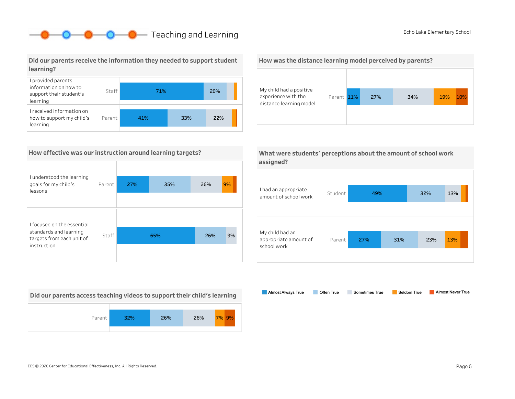## **O** Echo Lake Elementary School **Company** Teaching and Learning **EchoLace Elementary School**

Did our parents receive the information they needed to support student learning?



### How effective was our instruction around learning targets?

| I understood the learning<br>goals for my child's<br>lessons                                     | Parent | 27% | 35% | 26% | 9% |
|--------------------------------------------------------------------------------------------------|--------|-----|-----|-----|----|
|                                                                                                  |        |     |     |     |    |
| I focused on the essential<br>standards and learning<br>targets from each unit of<br>instruction | Staff  |     | 65% | 26% | 9% |
|                                                                                                  |        |     |     |     |    |

Did our parents access teaching videos to support their child's learning



#### How was the distance learning model perceived by parents?



What were students' perceptions about the amount of school work assigned?



Almost Always True Almost Never True Often True Sometimes True Seldom True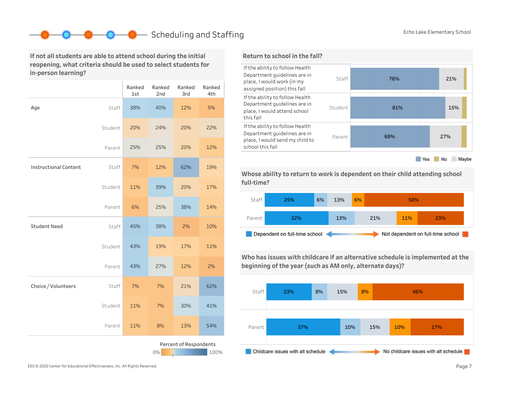### Scheduling and Staffing EchoLake Elementary School

If not all students are able to attend school during the initial reopening, what criteria should be used to select students for in-person learning?

|                              |         | Ranked<br>1st | Ranked<br>2nd | Ranked<br>3rd          | Ranked<br>4th |
|------------------------------|---------|---------------|---------------|------------------------|---------------|
| Age                          | Staff   | 38%           | 40%           | 12%                    | 5%            |
|                              | Student | 20%           | 24%           | 20%                    | 22%           |
|                              | Parent  | 25%           | 25%           | 20%                    | 12%           |
| <b>Instructional Content</b> | Staff   | 7%            | 12%           | 62%                    | 19%           |
|                              | Student | 11%           | 39%           | 20%                    | 17%           |
|                              | Parent  | 6%            | 25%           | 38%                    | 14%           |
| <b>Student Need</b>          | Staff   | 45%           | 38%           | 2%                     | 10%           |
|                              | Student | 43%           | 19%           | 17%                    | 11%           |
|                              | Parent  | 43%           | 27%           | 12%                    | 2%            |
| Choice / Volunteers          | Staff   | 7%            | 7%            | 21%                    | 62%           |
|                              | Student | 11%           | 7%            | 30%                    | 41%           |
|                              | Parent  | 11%           | 8%            | 13%                    | 54%           |
|                              |         |               | 0%            | Percent of Respondents | 100%          |



Whose ability to return to work is dependent on their child attending school full-time?



Who has issues with childcare if an alternative schedule is implemented at the beginning of the year (such as AM only, alternate days)?



EES © 2020 Center for Educational Effectiveness, Inc. All Rights Reserved. **Page 7** Page 7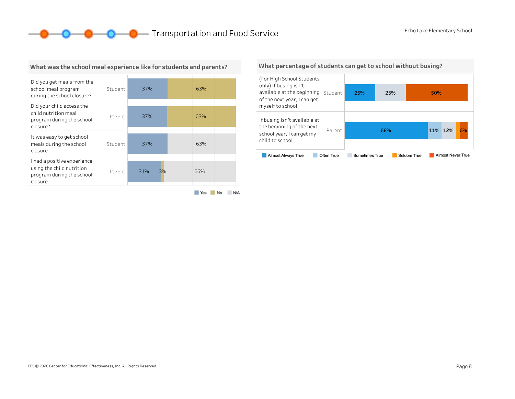**O** C **C** Transportation and Food Service EchoLake Elementary School



#### What was the school meal experience like for students and parents?

Yes No N/A

#### What percentage of students can get to school without busing?

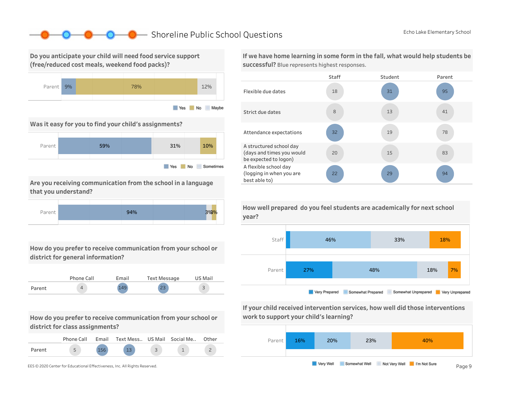### ■ Shoreline Public School Questions EchoLake Elementary School

Do you anticipate your child will need food service support (free/reduced cost meals, weekend food packs)?



Was it easy for you to find your child's assignments?



Are you receiving communication from the school in a language that you understand?



How do you prefer to receive communication from your school or district for general information?



How do you prefer to receive communication from your school or district for class assignments?

|        | Phone Call | Email | Text Mess US Mail Social Me |  | Other |
|--------|------------|-------|-----------------------------|--|-------|
| Parent |            |       |                             |  |       |



If we have home learning in some form in the fall, what would help students be successful? Blue represents highest responses.





If your child received intervention services, how well did those interventions work to support your child's learning?



How well prepared do you feel students are academically for next school year?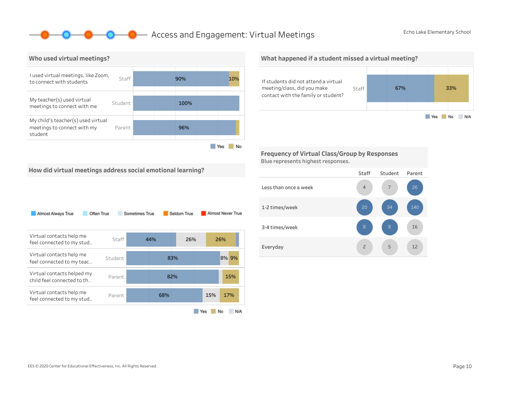### **O** Access and Engagement: Virtual Meetings EchoLake Elementary School



#### What happened if a student missed a virtual meeting?



Frequency of Virtual Class/Group by Responses Blue represents highest responses.

How did virtual meetings address social emotional learning?

| Almost Always True<br>Often True                          |         | Sometimes True |     | Seldom True |     | Almost Never True |
|-----------------------------------------------------------|---------|----------------|-----|-------------|-----|-------------------|
| Virtual contacts help me<br>feel connected to my stud     | Staff   |                | 44% | 26%         |     | 26%               |
| Virtual contacts help me<br>feel connected to my teac     | Student |                |     | 83%         |     | 8% 9%             |
| Virtual contacts helped my<br>child feel connected to th. | Parent  |                |     | 82%         |     | 15%               |
| Virtual contacts help me<br>feel connected to my stud     | Parent  |                | 68% |             | 15% | 17%               |
|                                                           |         |                |     |             | Yes | No<br>N/A         |

#### Staff Student Parent Lessthanonceaweek 1-2times/week 3-4 times/week Everyday 12 2 5 12 16 140 5 34 7 2 8 4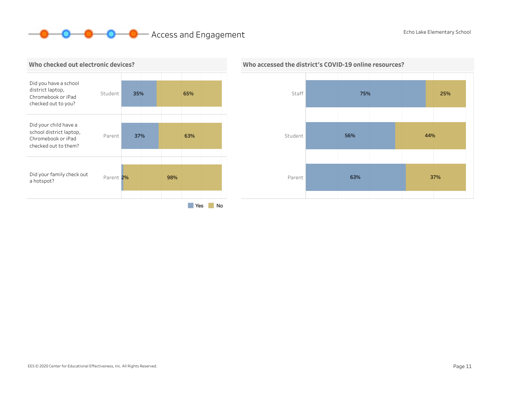# **O O** Access and Engagement EchoLake Elementary School Echo Lake Elementary School





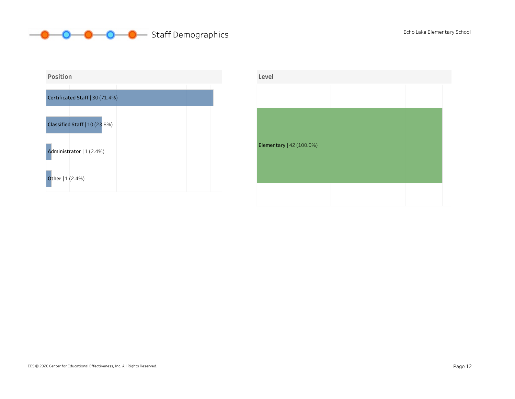



| Level                    |  |  |  |
|--------------------------|--|--|--|
|                          |  |  |  |
|                          |  |  |  |
|                          |  |  |  |
| Elementary   42 (100.0%) |  |  |  |
|                          |  |  |  |
|                          |  |  |  |
|                          |  |  |  |
|                          |  |  |  |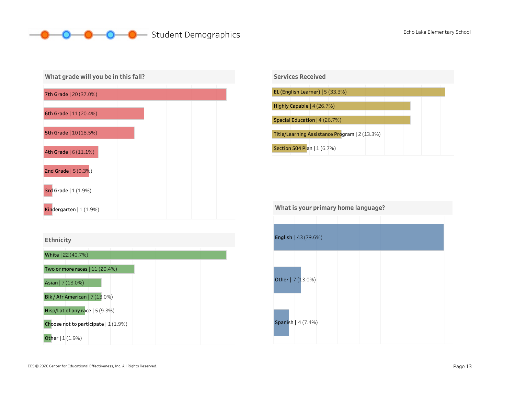## O O Student Demographics EchoLake Elementary School







| What is your primary home language? |                      |  |  |  |  |  |  |  |
|-------------------------------------|----------------------|--|--|--|--|--|--|--|
|                                     |                      |  |  |  |  |  |  |  |
|                                     | English   43 (79.6%) |  |  |  |  |  |  |  |
|                                     | Other   7 (13.0%)    |  |  |  |  |  |  |  |
|                                     | Spanish   4 (7.4%)   |  |  |  |  |  |  |  |